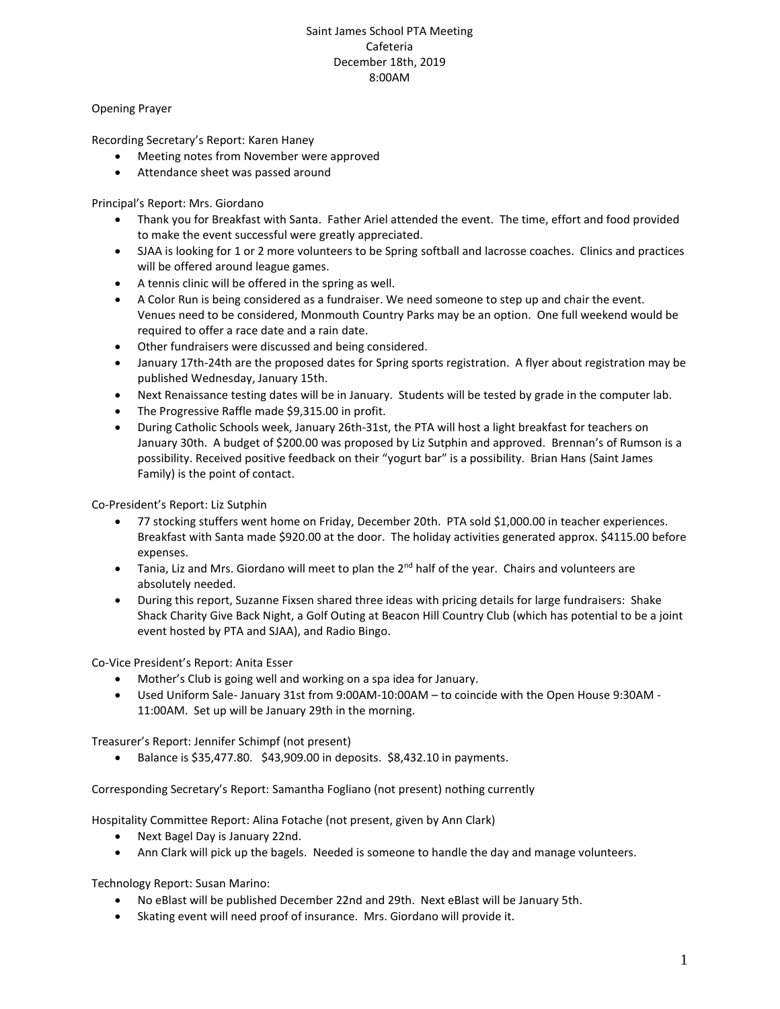## Saint James School PTA Meeting Cafeteria December 18th, 2019 8:00AM

Opening Prayer

Recording Secretary's Report: Karen Haney

- Meeting notes from November were approved
- Attendance sheet was passed around

Principal's Report: Mrs. Giordano

- Thank you for Breakfast with Santa. Father Ariel attended the event. The time, effort and food provided to make the event successful were greatly appreciated.
- SJAA is looking for 1 or 2 more volunteers to be Spring softball and lacrosse coaches. Clinics and practices will be offered around league games.
- A tennis clinic will be offered in the spring as well.
- A Color Run is being considered as a fundraiser. We need someone to step up and chair the event. Venues need to be considered, Monmouth Country Parks may be an option. One full weekend would be required to offer a race date and a rain date.
- Other fundraisers were discussed and being considered.
- January 17th-24th are the proposed dates for Spring sports registration. A flyer about registration may be published Wednesday, January 15th.
- Next Renaissance testing dates will be in January. Students will be tested by grade in the computer lab.
- The Progressive Raffle made \$9,315.00 in profit.
- During Catholic Schools week, January 26th-31st, the PTA will host a light breakfast for teachers on January 30th. A budget of \$200.00 was proposed by Liz Sutphin and approved. Brennan's of Rumson is a possibility. Received positive feedback on their "yogurt bar" is a possibility. Brian Hans (Saint James Family) is the point of contact.

Co-President's Report: Liz Sutphin

- 77 stocking stuffers went home on Friday, December 20th. PTA sold \$1,000.00 in teacher experiences. Breakfast with Santa made \$920.00 at the door. The holiday activities generated approx. \$4115.00 before expenses.
- Tania, Liz and Mrs. Giordano will meet to plan the  $2<sup>nd</sup>$  half of the year. Chairs and volunteers are absolutely needed.
- During this report, Suzanne Fixsen shared three ideas with pricing details for large fundraisers: Shake Shack Charity Give Back Night, a Golf Outing at Beacon Hill Country Club (which has potential to be a joint event hosted by PTA and SJAA), and Radio Bingo.

Co-Vice President's Report: Anita Esser

- Mother's Club is going well and working on a spa idea for January.
- Used Uniform Sale- January 31st from 9:00AM-10:00AM to coincide with the Open House 9:30AM 11:00AM. Set up will be January 29th in the morning.

Treasurer's Report: Jennifer Schimpf (not present)

• Balance is  $$35,477.80$ .  $$43,909.00$  in deposits.  $$8,432.10$  in payments.

Corresponding Secretary's Report: Samantha Fogliano (not present) nothing currently

Hospitality Committee Report: Alina Fotache (not present, given by Ann Clark)

- Next Bagel Day is January 22nd.
- Ann Clark will pick up the bagels. Needed is someone to handle the day and manage volunteers.

Technology Report: Susan Marino:

- No eBlast will be published December 22nd and 29th. Next eBlast will be January 5th.
- Skating event will need proof of insurance. Mrs. Giordano will provide it.